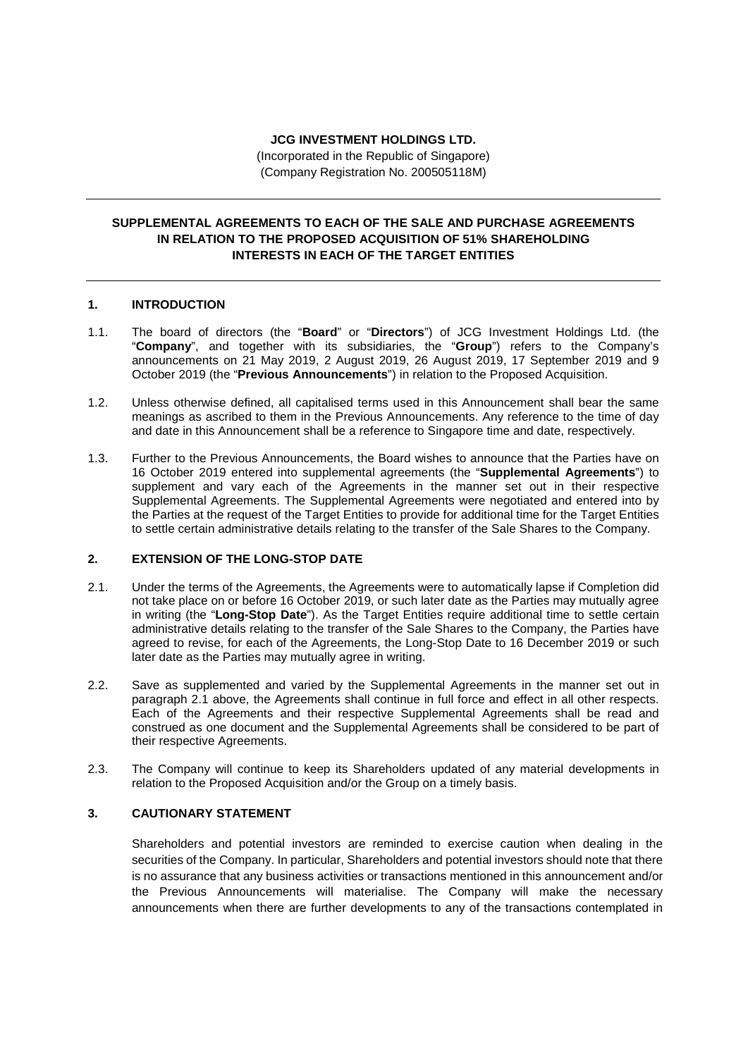### **JCG INVESTMENT HOLDINGS LTD.**

(Incorporated in the Republic of Singapore) (Company Registration No. 200505118M)

# **SUPPLEMENTAL AGREEMENTS TO EACH OF THE SALE AND PURCHASE AGREEMENTS IN RELATION TO THE PROPOSED ACQUISITION OF 51% SHAREHOLDING INTERESTS IN EACH OF THE TARGET ENTITIES**

### **1. INTRODUCTION**

- 1.1. The board of directors (the "**Board**" or "**Directors**") of JCG Investment Holdings Ltd. (the "**Company**", and together with its subsidiaries, the "**Group**") refers to the Company's announcements on 21 May 2019, 2 August 2019, 26 August 2019, 17 September 2019 and 9 October 2019 (the "**Previous Announcements**") in relation to the Proposed Acquisition.
- 1.2. Unless otherwise defined, all capitalised terms used in this Announcement shall bear the same meanings as ascribed to them in the Previous Announcements. Any reference to the time of day and date in this Announcement shall be a reference to Singapore time and date, respectively.
- 1.3. Further to the Previous Announcements, the Board wishes to announce that the Parties have on 16 October 2019 entered into supplemental agreements (the "**Supplemental Agreements**") to supplement and vary each of the Agreements in the manner set out in their respective Supplemental Agreements. The Supplemental Agreements were negotiated and entered into by the Parties at the request of the Target Entities to provide for additional time for the Target Entities to settle certain administrative details relating to the transfer of the Sale Shares to the Company.

## **2. EXTENSION OF THE LONG-STOP DATE**

- 2.1. Under the terms of the Agreements, the Agreements were to automatically lapse if Completion did not take place on or before 16 October 2019, or such later date as the Parties may mutually agree in writing (the "**Long-Stop Date**"). As the Target Entities require additional time to settle certain administrative details relating to the transfer of the Sale Shares to the Company, the Parties have agreed to revise, for each of the Agreements, the Long-Stop Date to 16 December 2019 or such later date as the Parties may mutually agree in writing.
- 2.2. Save as supplemented and varied by the Supplemental Agreements in the manner set out in paragraph 2.1 above, the Agreements shall continue in full force and effect in all other respects. Each of the Agreements and their respective Supplemental Agreements shall be read and construed as one document and the Supplemental Agreements shall be considered to be part of their respective Agreements.
- 2.3. The Company will continue to keep its Shareholders updated of any material developments in relation to the Proposed Acquisition and/or the Group on a timely basis.

# **3. CAUTIONARY STATEMENT**

Shareholders and potential investors are reminded to exercise caution when dealing in the securities of the Company. In particular, Shareholders and potential investors should note that there is no assurance that any business activities or transactions mentioned in this announcement and/or the Previous Announcements will materialise. The Company will make the necessary announcements when there are further developments to any of the transactions contemplated in